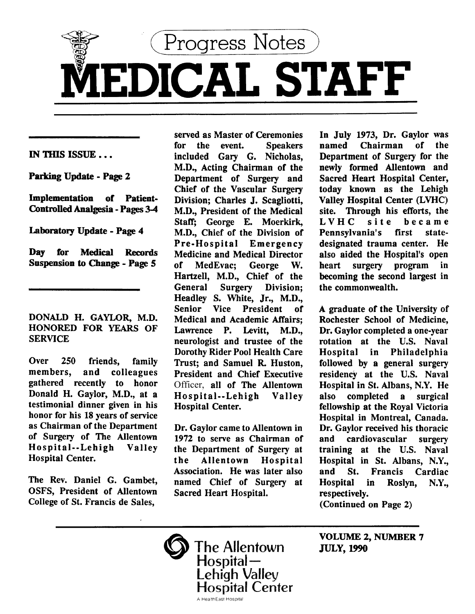

IN THIS ISSUE ...

Parking Update - Page 2

Implementation of Patient-Controlled Analgesia -Pages 34

Laboratory Update - Page 4

Day for Medical Records Suspension to Change - Page S

DONALD H. GAYLOR, M.D. HONORED FOR YEARS OF SERVICE

Over 250 friends, family members, and colleagues gathered recently to honor Donald H. Gaylor, M.D., at a testimonial dinner given in his honor for his 18 years of service as Chairman of the Department of Surgery of The Allentown Hospital--Lehigh Valley Hospital Center.

The Rev. Daniel G. Gambet, OSFS, President of Allentown College of St. Francis de Sales,

served as Master of Ceremonies for the event. Speakers included Gary G. Nicholas, M.D., Acting Chairman of the Department of Surgery and Chief of the Vascular Surgery Division; Charles J. Scagliotti, M.D., President of the Medical Staff; George E. Moerkirk, M.D., Chief of the Division of Pre-Hospital Emergency Medicine and Medical Director of MedEvac; George W. Hartzell, M.D., Chief of the General Surgery Division; Headley S. White, Jr., M.D., Senior Vice President of Medical and Academic Affairs; Lawrence P. Levitt, M.D., neurologist and trustee of the Dorothy Rider Pool Health Care Trust; and Samuel R. Huston, President and Chief Executive Officer, all of The Allentown Hospital--Lehigh Valley Hospital Center.

Dr. Gaylor came to Allentown in 1972 to serve as Chairman of the Department of Surgery at the Allentown Hospital Association. He was later also named Chief of Surgery at Sacred Heart Hospital.

In July 1973, Dr. Gaylor was named Chairman of the Department of Surgery for the newly formed Allentown and Sacred Heart Hospital Center, today known as the Lehigh Valley Hospital Center (LVHC) site. Through his efforts, the LVHC site became<br>Pennsvlvania's first state-Pennsylvania's designated trauma center. He also aided the Hospital's open heart surgery program in becoming the second largest in the commonwealth.

A graduate of the University of Rochester School of Medicine, Dr. Gaylor completed a one-year rotation at the U.S. Naval Hospital in Philadelphia followed by a general surgery residency at the U.S. Naval Hospital in St. Albans, N.Y. He also completed a surgical fellowship at the Royal Victoria Hospital in Montreal, Canada. Dr. Gaylor received his thoracic and cardiovascular surgery training at the U.S. Naval Hospital in St. Albans, N.Y., and St. Francis Cardiac Hospital in Roslyn, N.Y., respectively. (Continued on Page 2)

VOLUME 2, NUMBER 7 JULY, 1990

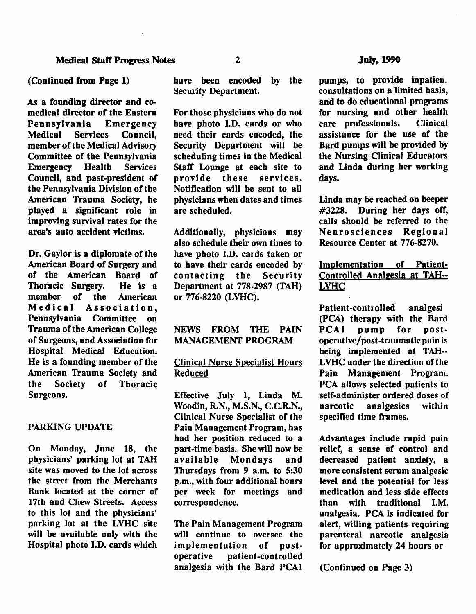As a founding director and comedical director of the Eastern Pennsylvania Emergency<br>Medical Services Council. Council, member of the Medical Advisory **Committee of the Pennsylvania<br>
Emergency Health Services** Emergency Council, and past-president of the Pennsylvania Division of the American Trauma Society, he played a significant role in improving survival rates for the area's auto accident victims.

Dr. Gaylor is a diplomate of the American Board of Surgery and of the American Board of Thoracic Surgery. He is a member of the American Medical Association, Pennsylvania Committee on Trauma of the American College of Surgeons, and Association for Hospital Medical Education. He is a founding member of the American Trauma Society and the Society of Thoracic Surgeons.

## PARKING UPDATE

On Monday, June 18, the physicians' parking lot at TAH site was moved to the lot across the street from the Merchants Bank located at the comer of 17th and Chew Streets. Access to this lot and the physicians' parking lot at the LVHC site will be available only with the Hospital photo I.D. cards which have been encoded by the Security Department.

For those physicians who do not have photo I.D. cards or who need their cards encoded, the Security Department will be scheduling times in the Medical Staff Lounge at each site to provide these services. Notification will be sent to all physicians when dates and times are scheduled.

Additionally, physicians may also schedule their own times to have photo I.D. cards taken or to have their cards encoded by contacting the Security Department at 778-2987 (TAH) or 776-8220 (LVHC).

# NEWS FROM THE PAIN MANAGEMENT PROGRAM

# Clinical Nurse Specialist Hours Reduced

Effective July 1, Linda M. Woodin, R.N., M.S.N., C.C.R.N., Clinical Nurse Specialist of the Pain Management Program, has had her position reduced to a part-time basis. She will now be available Mondays and Thursdays from 9 a.m. to 5:30 p.m., with four additional hours per week for meetings and correspondence.

The Pain Management Program will continue to oversee the implementation of postoperative patient-controlled analgesia with the Bard PCA1

pumps, to provide inpatien. consultations on a limited basis, and to do educational programs for nursing and other health care professionals. Clinical assistance for the use of the Bard pumps will be provided by the Nursing Clinical Educators and Linda during her working days.

Linda may be reached on beeper #3228. During her days otT, calls should be referred to the<br>Neurosciences Regional **Neurosciences** Resource Center at 776-8270.

# Implementation of Patient-Controlled Analgesia at TAH--LVHC

Patient-controlled analgesi (PCA) therapy with the Bard PCA1 pump for postoperative/post-traumatic pain is being implemented at TAH-- LVHC under the direction of the Pain Management Program. PCA allows selected patients to self-administer ordered doses of narcotic analgesics within specified time frames.

Advantages include rapid pain relief, a sense of control and decreased patient anxiety, a more consistent serum analgesic level and the potential for less medication and less side effects than with traditional I.M. analgesia. PCA is indicated for alert, willing patients requiring parenteral narcotic analgesia for approximately 24 hours or

(Continued on Page 3)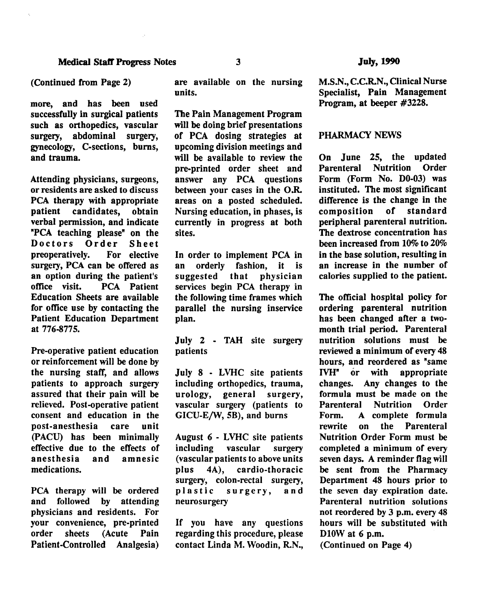### (Continued from Page 2)

more, and has been used successfully in surgical patients such as orthopedics, vascular surgery, abdominal surgery, gynecology, C-sections, bums, and trauma.

Attending physicians, surgeons, or residents are asked to discuss PCA therapy with appropriate patient candidates, obtain verbal permission, and indicate "PCA teaching please" on the Doctors Order Sheet preoperatively. For elective surgery, PCA can be offered as an option during the patient's<br>office visit. PCA Patient PCA Patient Education Sheets are available for office use by contacting the Patient Education Department at 776-8775.

Pre-operative patient education or reinforcement will be done by the nursing staff, and allows patients to approach surgery assured that their pain will be relieved. Post-operative patient consent and education in the post-anesthesia care unit (PACU) has been minimally effective due to the effects of anesthesia and amnesic medications.

PCA therapy will be ordered and followed by attending physicians and residents. For your convenience, pre-printed order sheets (Acute Pain Patient-Controlled Analgesia)

are available on the nursing units.

The Pain Management Program will be doing brief presentations of PCA dosing strategies at upcoming division meetings and will be available to review the pre-printed order sheet and answer any PCA questions between your cases in the O.R. areas on a posted scheduled. Nursing education, in phases, is currently in progress at both sites.

In order to implement PCA in<br>an orderly fashion, it is an orderly fashion, it is suggested that physician services begin PCA therapy in the following time frames which parallel the nursing inservice plan.

July 2 - TAH site surgery patients

July 8 - LVHC site patients including orthopedics, trauma, urology, general surgery, vascular surgery (patients to GICU-E/W, 5B), and burns

August 6 - LVHC site patients including vascular surgery (vascular patients to above units plus 4A), cardio-thoracic surgery, colon-rectal surgery,<br>plastic surgery, and surgery, and neurosurgery

If you have any questions regarding this procedure, please contact Linda M. Woodin, R.N., M.S.N., C.C.R.N., Clinical Nurse Specialist, Pain Management Program, at beeper #3228.

### PHARMACY NEWS

On June 25, the updated<br>Parenteral Nutrition Order Parenteral Nutrition Form (Form No. D0-03) was instituted. The most significant difference is the change in the<br>composition of standard composition of peripheral parenteral nutrition. The dextrose concentration has been increased from 10% to 20% in the base solution, resulting in an increase in the number of calories supplied to the patient.

The official hospital policy for ordering parenteral nutrition has been changed after a twomonth trial period. Parenteral nutrition solutions must be reviewed a minimum of every 48 hours, and reordered as "same<br>IVH" or with appropriate IVH" or with changes. Any changes to the formula must be made on the<br>Parenteral Nutrition Order Parenteral Nutrition Order Form. A complete formula rewrite on the Parenteral Nutrition Order Form must be completed a minimum of every seven days. A reminder flag will be sent from the Pharmacy Department 48 hours prior to the seven day expiration date. Parenteral nutrition solutions not reordered by 3 p.m. every 48 hours will be substituted with D<sub>10</sub>W at 6 p.m.

(Continued on Page 4)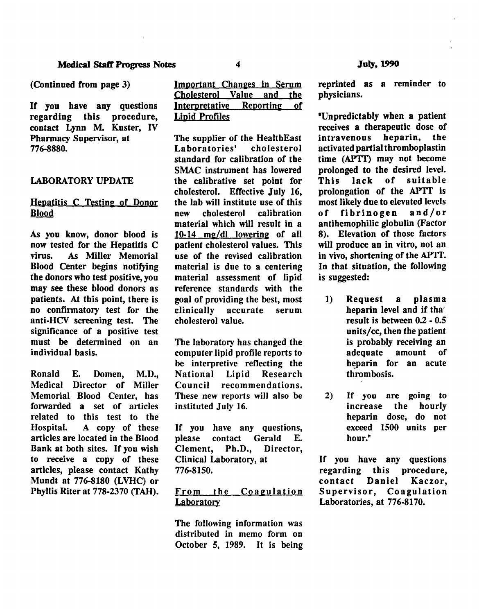If you have any questions regarding this procedure, contact Lynn M. Kuster, IV Pharmacy Supervisor, at 776-8880.

## LABORATORY UPDATE

# Hepatitis C Testing of Donor Blood

As you know, donor blood is now tested for the Hepatitis C virus. As Miller Memorial Blood Center begins notifying the donors who test positive, you may see these blood donors as patients. At this point, there is no confirmatory test for the anti-HCV screening test. The significance of a positive test must be determined on an individual basis.

Ronald E. Domen, M.D., Medical Director of Miller Memorial Blood Center, has forwarded a set of articles related to this test to the Hospital. A copy of these articles are located in the Blood Bank at both sites. If you wish to receive a copy of these articles, please contact Kathy Mundt at 776-8180 (LVHC) or Phyllis Riter at 778-2370 (TAH).

| Important Changes in Serum  |  |  |
|-----------------------------|--|--|
| Cholesterol Value and the   |  |  |
| Interpretative Reporting of |  |  |
| <b>Lipid Profiles</b>       |  |  |

The supplier of the HealthEast<br>Laboratories' cholesterol Laboratories' standard for calibration of the SMAC instrument has lowered the calibrative set point for cholesterol. Effective July 16, the lab will institute use of this new cholesterol calibration material which will result in a  $10-14$  mg/dl lowering of all patient cholesterol values. This use of the revised calibration material is due to a centering material assessment of lipid reference standards with the goal of providing the best, most clinically accurate serum cholesterol value.

The laboratory has changed the computer lipid profile reports to be interpretive reflecting the National Lipid Research Council recommendations. These new reports will also be instituted July 16.

If you have any questions,<br>please contact Gerald E. contact Gerald<br>
, Ph.D., Direct Clement, Ph.D., Director, Clinical Laboratory, at 776-8150.

# From the Coagulation **Laboratory**

The following information was distributed in memo form on October 5, 1989. It is being reprinted as a reminder to physicians.

"Unpredictably when a patient receives a therapeutic dose of<br>intravenous heparin, the intravenous heparin, the activated partial thromboplastin time (APTT) may not become prolonged to the desired level. This lack of suitable prolongation of the APTT is most likely due to elevated levels<br>of fibrinogen and/or of fibrinogen antihemophilic globulin (Factor 8). Elevation of those factors will produce an in vitro, not an in vivo, shortening of the APTT. In that situation, the following is suggested:

- 1) Request a plasma heparin level and if tha result is between 0.2 - 0.5 units/cc, then the patient is probably receiving an adequate amount of heparin for an acute thrombosis.
- 2) If you are going to increase the hourly heparin dose, do not exceed 1500 units per hour."

If you have any questions regarding this procedure, contact Daniel Kaczor, Supervisor, Coagulation Laboratories, at 776-8170.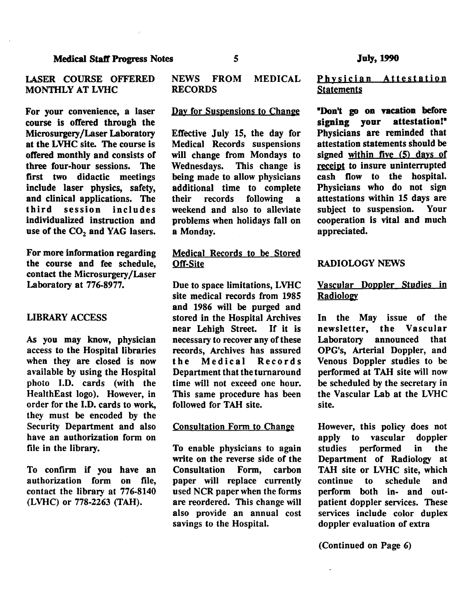### LASER COURSE OFFERED MONTHLY AT LVHC

For your convenience, a laser course is offered through the Microsurgery /Laser Laboratory at the LVHC site. The course is offered monthly and consists of three four-hour sessions. The first two didactic meetings include laser physics, safety, and clinical applications. The third session includes individualized instruction and use of the  $CO<sub>2</sub>$  and YAG lasers.

For more information regarding the course and fee schedule, contact the Microsurgery /Laser Laboratory at 776-8977.

### LIBRARY ACCESS

As you may know, physician access to the Hospital libraries when they are closed is now available by using the Hospital photo J.D. cards (with the HealthEast logo). However, in order for the I.D. cards to work, they must be encoded by the Security Department and also have an authorization form on file in the library.

To confirm if you have an authorization form on file, contact the library at 776-8140 (LVHC) or 778-2263 (TAH).

# NEWS FROM MEDICAL RECORDS

#### Day for Suspensions to Change

Effective July 15, the day for Medical Records suspensions will change from Mondays to<br>Wednesdays. This change is Wednesdays. being made to allow physicians additional time to complete<br>their records following a following a weekend and also to alleviate problems when holidays fall on a Monday.

# Medical Records to be Stored Off-Site

Due to space limitations, LVHC site medical records from 1985 and 1986 will be purged and stored in the Hospital Archives near Lehigh Street. If it is necessary to recover any of these records, Archives has assured<br>the Medical Records Medical Department that the turnaround time will not exceed one hour. This same procedure has been followed for TAH site.

#### Consultation Form to Change

To enable physicians to again write on the reverse side of the Consultation Form, carbon paper will replace currently used NCR paper when the forms are reordered. This change will also provide an annual cost savings to the Hospital.

# Physician Attestation **Statements**

'Don't go on vacation before signing your attestation!' Physicians are reminded that attestation statements should be signed within five (5) days of receipt to insure uninterrupted cash flow to the hospital. Physicians who do not sign attestations within 15 days are<br>subject to suspension. Your subject to suspension. cooperation is vital and much appreciated.

### RADIOLOGY NEWS

# Vascular Doppler Studies in Radiology

In the May issue of the newsletter, the Vascular<br>Laboratory announced that Laboratory announced OPG's, Arterial Doppler, and Venous Doppler studies to be performed at TAH site will now be scheduled by the secretary in the Vascular Lab at the LVHC site.

However, this policy does not apply to vascular doppler studies performed in the Department of Radiology at TAH site or LVHC site, which continue to schedule and perform both in- and outpatient doppler services. These services include color duplex doppler evaluation of extra

(Continued on Page 6)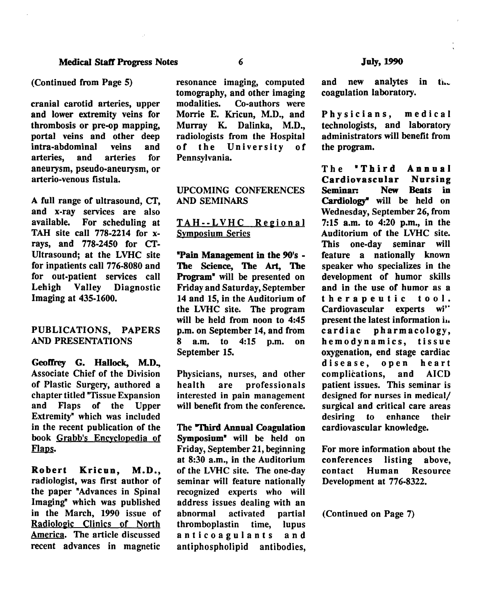cranial carotid arteries, upper and lower extremity veins for thrombosis or pre-op mapping, portal veins and other deep<br>intra-abdominal veins and intra-abdominal arteries, and arteries for aneurysm, pseudo-aneurysm, or arterio-venous fistula.

A full range of ultrasound, Cf, and x-ray services are also available. For scheduling at TAH site call 778-2214 for xrays, and 778-2450 for CI'- Ultrasound; at the LVHC site for inpatients call 776-8080 and for out-patient services call Lehigh Valley Diagnostic Imaging at 435-1600.

## PUBLICATIONS, PAPERS AND PRESENTATIONS

Geoffrey G. Hallock, M.D., Associate Chief of the Division of Plastic Surgery, authored a chapter titled "Tissue Expansion and Flaps of the Upper Extremity" which was included in the recent publication of the book Grabb's Encyclopedia of Flaps.

Robert Kricun, M.D., radiologist, was first author of the paper "Advances in Spinal Imaging" which was published in the March, 1990 issue of Radiologic Clinics of North America. The article discussed recent advances in magnetic

resonance imaging, computed tomography, and other imaging<br>modalities. Co-authors were Co-authors were Morrie E. Kricun, M.D., and Murray K. Dalinka, M.D., radiologists from the Hospital<br>of the University of the University of Pennsylvania.

# UPCOMING CONFERENCES AND SEMINARS

### TAH--LVHC Regional Symposium Series

•pain Management in the 90's - The Science, The Art, The Program<sup>\*</sup> will be presented on Friday and Saturday, September 14 and 15, in the Auditorium of the LVHC site. The program will be held from noon to 4:45 p.m. on September 14, and from 8 a.m. to 4:15 p.m. on September 15.

Physicians, nurses, and other health are professionals interested in pain management will benefit from the conference.

The "Third Annual Coagulation Symposium<sup>\*</sup> will be held on Friday, September 21, beginning at 8:30 a.m., in the Auditorium of the LVHC site. The one-day seminar will feature nationally recognized experts who will address issues dealing with an abnormal activated partial thromboplastin time, lupus anticoagulants and antiphospholipid antibodies, and new analytes in the coagulation laboratory.

Physicians, medical technologists, and laboratory administrators will benefit from the program.

The **"Third Annual**<br>Cardiovascular Nursing Cardiovascular<br>Seminar: New New Beats in Cardiology" will be held on Wednesday, September 26, from 7:15 a.m. to 4:20 p.m., in the Auditorium of the LVHC site. This one-day seminar will feature a nationally known speaker who specializes in the development of humor skills and in the use of humor as a therapeutic tool.<br>Cardiovascular experts wi'' Cardiovascular present the latest information in cardiac pharmacology, hemodynamics, tissue oxygenation, end stage cardiac disease, open heart complications, and AICD patient issues. This seminar is designed for nurses in medical/ surgical and critical care areas desiring to enhance their cardiovascular knowledge.

For more information about the conferences listing above, contact Human Resource Development at 776-8322.

(Continued on Page 7)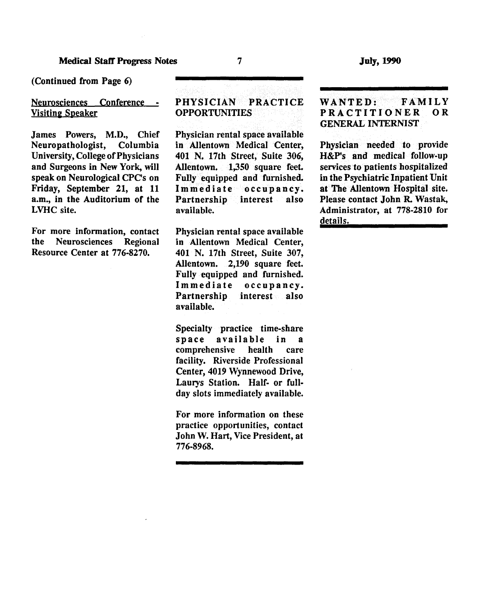(Continued from Page 6)

### Neurosciences Conference -**Visiting Speaker**

James Powers, M.D., Chief Neuropathologist, Columbia University, College of Physicians and Surgeons in New York, will speak on Neurological CPC's on Friday, September 21, at 11 a.m., in the Auditorium of the LVHC site.

For more information, contact the Neurosciences Regional Resource Center at 776-8270.

# PHYSICIAN PRACTICE OPPORTUNITIES

Physician rental space available in Allentown Medical Center, 401 N. 17th Street, Suite 306, Allentown. 1,350 square feet. Fully equipped and furnished. Immediate occupancy.<br>Partnership interest also Partnership available.

Physician rental space available in Allentown Medical Center, 401 N. 17th Street, Suite 307, Allentown. 2,190 square feet. Fully equipped and furnished. Immediate occupancy. Partnership interest also available.

Specialty practice time-share space available in a comprehensive health care facility. Riverside Professional Center, 4019 Wynnewood Drive, Laurys Station. Half- or fullday slots immediately available.

For more information on these practice opportunities, contact John W. Hart, Vice President, at 776-8968.

# WANTED: FAMILY PRACTITIONER OR GENERAL INTERNIST

Physician needed to provide H&P's and medical follow-up services to patients hospitalized in the Psychiatric Inpatient Unit at The Allentown Hospital site. Please contact John R. Wastak, Administrator, at 778-2810 for details.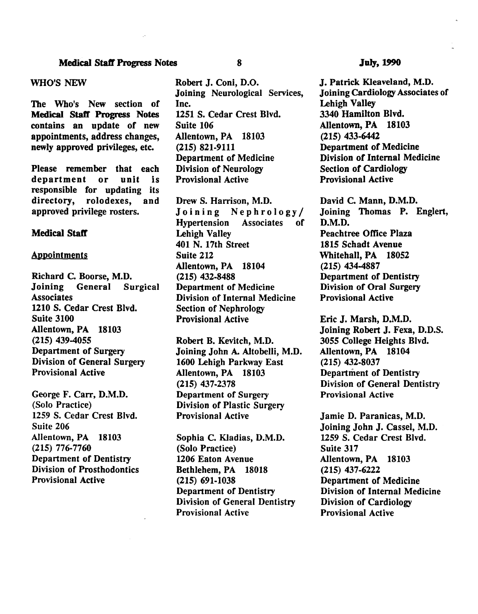#### WHO'S NEW

The Who's New section of Medical Staff Progress Notes contains an update of new appointments, address changes, newly approved privileges, etc.

Please remember that each department or unit is responsible for updating its<br>directory, rolodexes, and rolodexes, and approved privilege rosters.

### Medical Staff

#### **Appointments**

Richard C. Boorse, M.D.<br>Joining General Surgical Joining General **Associates** 1210 S. Cedar Crest Blvd. Suite 3100 Allentown, PA 18103 (215) 439-4055 Department of Surgery Division of General Surgery Provisional Active

George F. Carr, D.M.D. (Solo Practice) 1259 S. Cedar Crest Blvd. Suite 206 Allentown, PA 18103 (215) 776-7760 Department of Dentistry Division of Prosthodontics Provisional Active

Robert J. Coni, D.O. Joining Neurological Services, Inc. 1251 S. Cedar Crest Blvd. Suite 106 Allentown, PA 18103 (215) 821-9111 Department of Medicine Division of Neurology Provisional Active

Drew S. Harrison, M.D. Joining Nephrology/<br>Hypertension Associates of Hypertension Lehigh Valley 401 N. 17th Street Suite 212 Allentown, PA 18104 (215) 432-8488 Department of Medicine Division of Internal Medicine Section of Nephrology Provisional Active

Robert B. Kevitch, M.D. Joining John A. Altobelli, M.D. 1600 Lehigh Parkway East Allentown, PA 18103 (215) 437-2378 Department of Surgery Division of Plastic Surgery Provisional Active

Sophia C. Kladias, D.M.D. (Solo Practice) 1206 Eaton Avenue Bethlehem, PA 18018 (215) 691-1038 Department of Dentistry Division of General Dentistry Provisional Active

#### JuJy, 1990

J. Patrick Kleaveland, M.D. Joining Cardiology Associates of Lehigh Valley 3340 Hamilton Blvd. Allentown, PA 18103 (215) 433-6442 Department of Medicine Division of Internal Medicine Section of Cardiology Provisional Active

David C. Mann, D.M.D. Joining Thomas P. Englert, D.M.D. Peachtree Office Plaza 1815 Schadt Avenue Whitehall, PA 18052 (215) 434-4887 Department of Dentistry Division of Oral Surgery Provisional Active

Eric J. Marsh, D.M.D. Joining Robert J. Fexa, D.D.S. 3055 College Heights Blvd. Allentown, PA 18104 (215) 432-8037 Department of Dentistry Division of General Dentistry Provisional Active

Jamie D. Paranicas, M.D. Joining John J. Cassel, M.D. 1259 S. Cedar Crest Blvd. Suite 317 Allentown, PA 18103 (215) 437-6222 Department of Medicine Division of Internal Medicine Division of Cardiology Provisional Active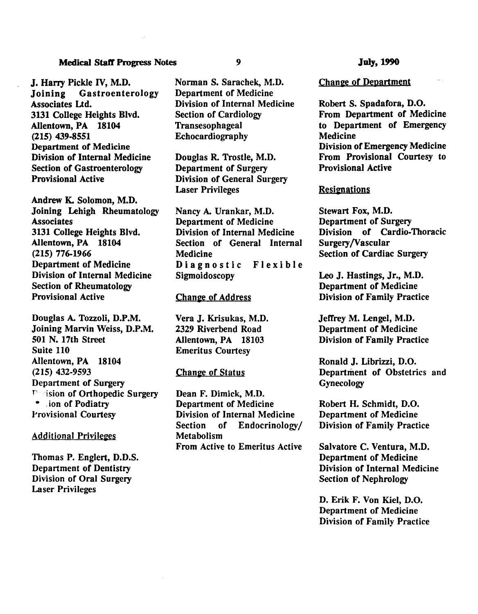J. Harry Pickle IV, M.D. Joining Gastroenterology Associates Ltd. 3131 College Heights Blvd. Allentown, PA 18104 (215) 439-8551 Department of Medicine Division of Internal Medicine Section of Gastroenterology Provisional Active

Andrew K. Solomon, M.D. Joining Lehigh Rheumatology **Associates** 3131 College Heights Blvd. Allentown, PA 18104 (215) 776-1966 Department of Medicine Division of Internal Medicine Section of Rheumatology Provisional Active

Douglas A. Tozzoli, D.P.M. Joining Marvin Weiss, D.P.M. 501 N. 17th Street Suite 110 Allentown, PA 18104 (215) 432-9593 Department of Surgery r ·ision of Orthopedic Surgery • . ion of Podiatry .Provisional Courtesy

### **Additional Privileges**

Thomas P. Englert, D.D.S. Department of Dentistry Division of Oral Surgery Laser Privileges

Norman S. Sarachek, M.D. Department of Medicine Division of Internal Medicine Section of Cardiology Transesophageal Echocardiography

Douglas R. Trostle, M.D. Department of Surgery Division of General Surgery Laser Privileges

Nancy A. Urankar, M.D. Department of Medicine Division of Internal Medicine Section of General Internal Medicine Diagnostic Flexible Sigmoidoscopy

#### **Change of Address**

Vera J. Krisukas, M.D. 2329 Riverbend Road Allentown, PA 18103 Emeritus Courtesy

#### Change of Status

Dean F. Dimick, M.D. Department of Medicine Division of Internal Medicine Section of Endocrinology/ Metabolism From Active to Emeritus Active

Chanee of Department

Robert S. Spadafora, D.O. From Department of Medicine to Department of Emergency **Medicine** Division of Emergency Medicine From Provisional Courtesy to Provisional Active

#### **Resignations**

Stewart Fox, M.D. Department of Surgery Division of Cardio-Thoracic Surgery/Vascular Section of Cardiac Surgery

Leo J. Hastings, Jr., M.D. Department of Medicine Division of Family Practice

Jeffrey M. Lengel, M.D. Department of Medicine Division of Family Practice

Ronald J. Librizzi, D.O. Department of Obstetrics and **Gynecology** 

Robert H. Schmidt, D.O . Department of Medicine Division of Family Practice

Salvatore C. Ventura, M.D. Department of Medicine Division of Internal Medicine Section of Nephrology

D. Erik F. Von Kiel, D.O. Department of Medicine Division of Family Practice